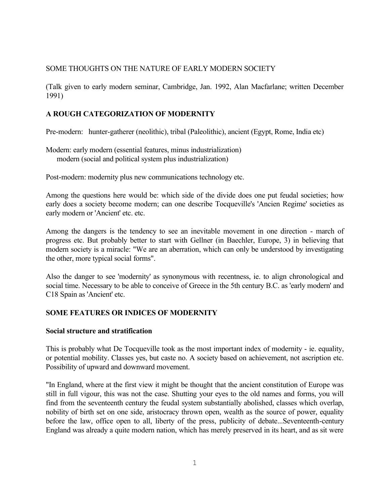## SOME THOUGHTS ON THE NATURE OF EARLY MODERN SOCIETY

(Talk given to early modern seminar, Cambridge, Jan. 1992, Alan Macfarlane; written December 1991)

## **A ROUGH CATEGORIZATION OF MODERNITY**

Pre-modern: hunter-gatherer (neolithic), tribal (Paleolithic), ancient (Egypt, Rome, India etc)

Modern: early modern (essential features, minus industrialization) modern (social and political system plus industrialization)

Post-modern: modernity plus new communications technology etc.

Among the questions here would be: which side of the divide does one put feudal societies; how early does a society become modern; can one describe Tocqueville's 'Ancien Regime' societies as early modern or 'Ancient' etc. etc.

Among the dangers is the tendency to see an inevitable movement in one direction - march of progress etc. But probably better to start with Gellner (in Baechler, Europe, 3) in believing that modern society is a miracle: "We are an aberration, which can only be understood by investigating the other, more typical social forms".

Also the danger to see 'modernity' as synonymous with recentness, ie. to align chronological and social time. Necessary to be able to conceive of Greece in the 5th century B.C. as 'early modern' and C18 Spain as 'Ancient' etc.

#### **SOME FEATURES OR INDICES OF MODERNITY**

#### **Social structure and stratification**

This is probably what De Tocqueville took as the most important index of modernity - ie. equality, or potential mobility. Classes yes, but caste no. A society based on achievement, not ascription etc. Possibility of upward and downward movement.

"In England, where at the first view it might be thought that the ancient constitution of Europe was still in full vigour, this was not the case. Shutting your eyes to the old names and forms, you will find from the seventeenth century the feudal system substantially abolished, classes which overlap, nobility of birth set on one side, aristocracy thrown open, wealth as the source of power, equality before the law, office open to all, liberty of the press, publicity of debate...Seventeenth-century England was already a quite modern nation, which has merely preserved in its heart, and as sit were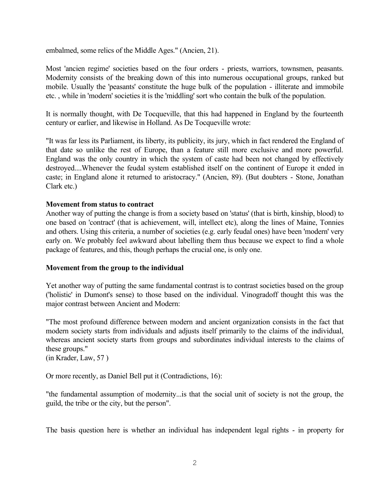embalmed, some relics of the Middle Ages." (Ancien, 21).

Most 'ancien regime' societies based on the four orders - priests, warriors, townsmen, peasants. Modernity consists of the breaking down of this into numerous occupational groups, ranked but mobile. Usually the 'peasants' constitute the huge bulk of the population - illiterate and immobile etc. , while in 'modern' societies it is the 'middling' sort who contain the bulk of the population.

It is normally thought, with De Tocqueville, that this had happened in England by the fourteenth century or earlier, and likewise in Holland. As De Tocqueville wrote:

"It was far less its Parliament, its liberty, its publicity, its jury, which in fact rendered the England of that date so unlike the rest of Europe, than a feature still more exclusive and more powerful. England was the only country in which the system of caste had been not changed by effectively destroyed....Whenever the feudal system established itself on the continent of Europe it ended in caste; in England alone it returned to aristocracy." (Ancien, 89). (But doubters - Stone, Jonathan Clark etc.)

#### **Movement from status to contract**

Another way of putting the change is from a society based on 'status' (that is birth, kinship, blood) to one based on 'contract' (that is achievement, will, intellect etc), along the lines of Maine, Tonnies and others. Using this criteria, a number of societies (e.g. early feudal ones) have been 'modern' very early on. We probably feel awkward about labelling them thus because we expect to find a whole package of features, and this, though perhaps the crucial one, is only one.

#### **Movement from the group to the individual**

Yet another way of putting the same fundamental contrast is to contrast societies based on the group ('holistic' in Dumont's sense) to those based on the individual. Vinogradoff thought this was the major contrast between Ancient and Modern:

"The most profound difference between modern and ancient organization consists in the fact that modern society starts from individuals and adjusts itself primarily to the claims of the individual, whereas ancient society starts from groups and subordinates individual interests to the claims of these groups."

(in Krader, Law, 57 )

Or more recently, as Daniel Bell put it (Contradictions, 16):

"the fundamental assumption of modernity...is that the social unit of society is not the group, the guild, the tribe or the city, but the person".

The basis question here is whether an individual has independent legal rights - in property for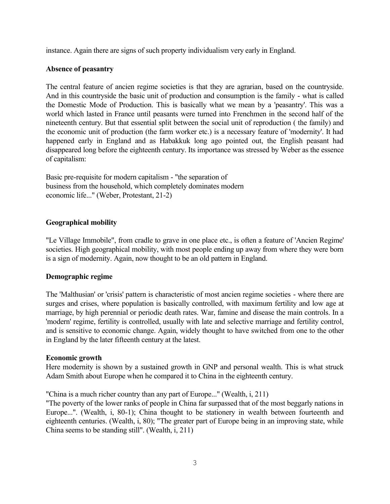instance. Again there are signs of such property individualism very early in England.

### **Absence of peasantry**

The central feature of ancien regime societies is that they are agrarian, based on the countryside. And in this countryside the basic unit of production and consumption is the family - what is called the Domestic Mode of Production. This is basically what we mean by a 'peasantry'. This was a world which lasted in France until peasants were turned into Frenchmen in the second half of the nineteenth century. But that essential split between the social unit of reproduction ( the family) and the economic unit of production (the farm worker etc.) is a necessary feature of 'modernity'. It had happened early in England and as Habakkuk long ago pointed out, the English peasant had disappeared long before the eighteenth century. Its importance was stressed by Weber as the essence of capitalism:

Basic pre-requisite for modern capitalism - "the separation of business from the household, which completely dominates modern economic life..." (Weber, Protestant, 21-2)

### **Geographical mobility**

"Le Village Immobile", from cradle to grave in one place etc., is often a feature of 'Ancien Regime' societies. High geographical mobility, with most people ending up away from where they were born is a sign of modernity. Again, now thought to be an old pattern in England.

#### **Demographic regime**

The 'Malthusian' or 'crisis' pattern is characteristic of most ancien regime societies - where there are surges and crises, where population is basically controlled, with maximum fertility and low age at marriage, by high perennial or periodic death rates. War, famine and disease the main controls. In a 'modern' regime, fertility is controlled, usually with late and selective marriage and fertility control, and is sensitive to economic change. Again, widely thought to have switched from one to the other in England by the later fifteenth century at the latest.

#### **Economic growth**

Here modernity is shown by a sustained growth in GNP and personal wealth. This is what struck Adam Smith about Europe when he compared it to China in the eighteenth century.

"China is a much richer country than any part of Europe..." (Wealth, i, 211)

"The poverty of the lower ranks of people in China far surpassed that of the most beggarly nations in Europe...". (Wealth, i, 80-1); China thought to be stationery in wealth between fourteenth and eighteenth centuries. (Wealth, i, 80); "The greater part of Europe being in an improving state, while China seems to be standing still". (Wealth, i, 211)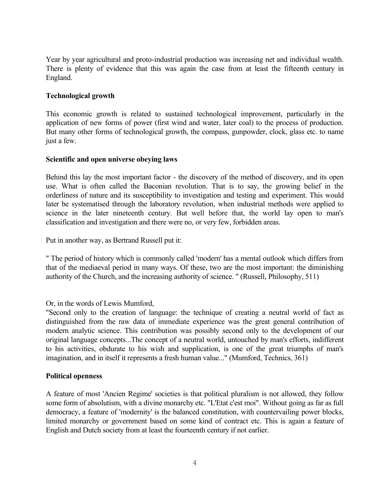Year by year agricultural and proto-industrial production was increasing net and individual wealth. There is plenty of evidence that this was again the case from at least the fifteenth century in England.

### **Technological growth**

This economic growth is related to sustained technological improvement, particularly in the application of new forms of power (first wind and water, later coal) to the process of production. But many other forms of technological growth, the compass, gunpowder, clock, glass etc. to name just a few.

#### **Scientific and open universe obeying laws**

Behind this lay the most important factor - the discovery of the method of discovery, and its open use. What is often called the Baconian revolution. That is to say, the growing belief in the orderliness of nature and its susceptibility to investigation and testing and experiment. This would later be systematised through the laboratory revolution, when industrial methods were applied to science in the later nineteenth century. But well before that, the world lay open to man's classification and investigation and there were no, or very few, forbidden areas.

Put in another way, as Bertrand Russell put it:

" The period of history which is commonly called 'modern' has a mental outlook which differs from that of the mediaeval period in many ways. Of these, two are the most important: the diminishing authority of the Church, and the increasing authority of science. " (Russell, Philosophy, 511)

Or, in the words of Lewis Mumford,

"Second only to the creation of language: the technique of creating a neutral world of fact as distinguished from the raw data of immediate experience was the great general contribution of modern analytic science. This contribution was possibly second only to the development of our original language concepts...The concept of a neutral world, untouched by man's efforts, indifferent to his activities, obdurate to his wish and supplication, is one of the great triumphs of man's imagination, and in itself it represents a fresh human value..." (Mumford, Technics, 361)

#### **Political openness**

A feature of most 'Ancien Regime' societies is that political pluralism is not allowed, they follow some form of absolutism, with a divine monarchy etc. "L'Etat c'est moi". Without going as far as full democracy, a feature of 'modernity' is the balanced constitution, with countervailing power blocks, limited monarchy or government based on some kind of contract etc. This is again a feature of English and Dutch society from at least the fourteenth century if not earlier.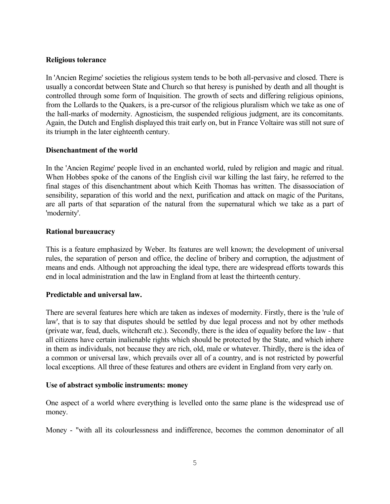### **Religious tolerance**

In 'Ancien Regime' societies the religious system tends to be both all-pervasive and closed. There is usually a concordat between State and Church so that heresy is punished by death and all thought is controlled through some form of Inquisition. The growth of sects and differing religious opinions, from the Lollards to the Quakers, is a pre-cursor of the religious pluralism which we take as one of the hall-marks of modernity. Agnosticism, the suspended religious judgment, are its concomitants. Again, the Dutch and English displayed this trait early on, but in France Voltaire was still not sure of its triumph in the later eighteenth century.

### **Disenchantment of the world**

In the 'Ancien Regime' people lived in an enchanted world, ruled by religion and magic and ritual. When Hobbes spoke of the canons of the English civil war killing the last fairy, he referred to the final stages of this disenchantment about which Keith Thomas has written. The disassociation of sensibility, separation of this world and the next, purification and attack on magic of the Puritans, are all parts of that separation of the natural from the supernatural which we take as a part of 'modernity'.

### **Rational bureaucracy**

This is a feature emphasized by Weber. Its features are well known; the development of universal rules, the separation of person and office, the decline of bribery and corruption, the adjustment of means and ends. Although not approaching the ideal type, there are widespread efforts towards this end in local administration and the law in England from at least the thirteenth century.

# **Predictable and universal law.**

There are several features here which are taken as indexes of modernity. Firstly, there is the 'rule of law', that is to say that disputes should be settled by due legal process and not by other methods (private war, feud, duels, witchcraft etc.). Secondly, there is the idea of equality before the law - that all citizens have certain inalienable rights which should be protected by the State, and which inhere in them as individuals, not because they are rich, old, male or whatever. Thirdly, there is the idea of a common or universal law, which prevails over all of a country, and is not restricted by powerful local exceptions. All three of these features and others are evident in England from very early on.

#### **Use of abstract symbolic instruments: money**

One aspect of a world where everything is levelled onto the same plane is the widespread use of money.

Money - "with all its colourlessness and indifference, becomes the common denominator of all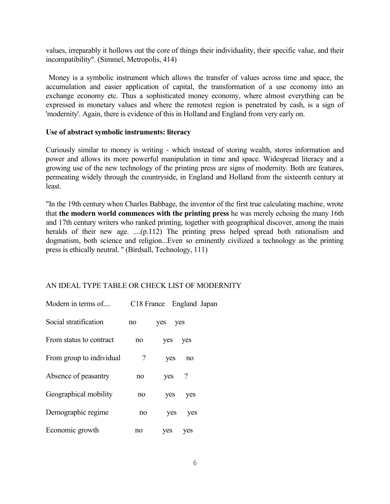values, irreparably it hollows out the core of things their individuality, their specific value, and their incompatibility". (Simmel, Metropolis, 414)

Money is a symbolic instrument which allows the transfer of values across time and space, the accumulation and easier application of capital, the transformation of a use economy into an exchange economy etc. Thus a sophisticated money economy, where almost everything can be expressed in monetary values and where the remotest region is penetrated by cash, is a sign of 'modernity'. Again, there is evidence of this in Holland and England from very early on.

#### **Use of abstract symbolic instruments: literacy**

Curiously similar to money is writing - which instead of storing wealth, stores information and power and allows its more powerful manipulation in time and space. Widespread literacy and a growing use of the new technology of the printing press are signs of modernity. Both are features, permeating widely through the countryside, in England and Holland from the sixteenth century at least.

"In the 19th century when Charles Babbage, the inventor of the first true calculating machine, wrote that **the modern world commences with the printing press** he was merely echoing the many 16th and 17th century writers who ranked printing, together with geographical discover, among the main heralds of their new age. ....(p.112) The printing press helped spread both rationalism and dogmatism, both science and religion...Even so eminently civilized a technology as the printing press is ethically neutral. " (Birdsall, Technology, 111)

# AN IDEAL TYPE TABLE OR CHECK LIST OF MODERNITY

| Modern in terms of       | C18 France England Japan |     |     |  |
|--------------------------|--------------------------|-----|-----|--|
| Social stratification    | no                       | ves | yes |  |
| From status to contract  | no                       | yes | yes |  |
| From group to individual | $\overline{\mathcal{C}}$ | yes | no  |  |
| Absence of peasantry     | no                       | yes | ?   |  |
| Geographical mobility    | no                       | yes | yes |  |
| Demographic regime       | no                       | yes | yes |  |
| Economic growth          | no                       | ves | yes |  |